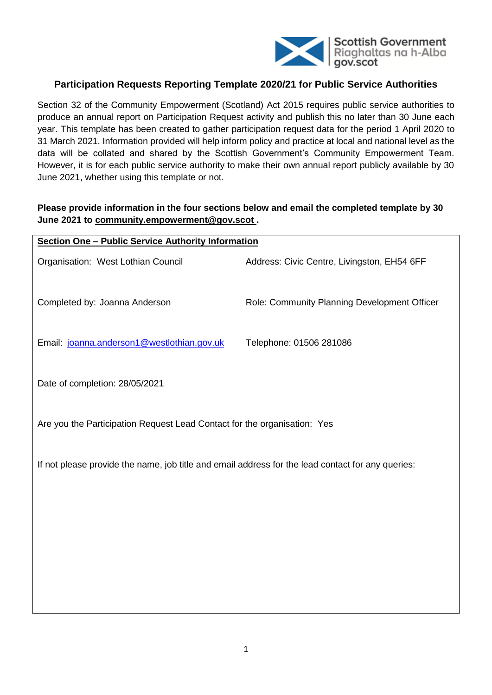

# **Participation Requests Reporting Template 2020/21 for Public Service Authorities**

Section 32 of the Community Empowerment (Scotland) Act 2015 requires public service authorities to produce an annual report on Participation Request activity and publish this no later than 30 June each year. This template has been created to gather participation request data for the period 1 April 2020 to 31 March 2021. Information provided will help inform policy and practice at local and national level as the data will be collated and shared by the Scottish Government's Community Empowerment Team. However, it is for each public service authority to make their own annual report publicly available by 30 June 2021, whether using this template or not.

## **Please provide information in the four sections below and email the completed template by 30 June 2021 to [community.empowerment@gov.scot](mailto:community.empowerment@gov.scot) .**

| <b>Section One - Public Service Authority Information</b>                                         |                                              |  |  |  |  |  |
|---------------------------------------------------------------------------------------------------|----------------------------------------------|--|--|--|--|--|
| Organisation: West Lothian Council                                                                | Address: Civic Centre, Livingston, EH54 6FF  |  |  |  |  |  |
| Completed by: Joanna Anderson                                                                     | Role: Community Planning Development Officer |  |  |  |  |  |
| Email: joanna.anderson1@westlothian.gov.uk                                                        | Telephone: 01506 281086                      |  |  |  |  |  |
| Date of completion: 28/05/2021                                                                    |                                              |  |  |  |  |  |
| Are you the Participation Request Lead Contact for the organisation: Yes                          |                                              |  |  |  |  |  |
| If not please provide the name, job title and email address for the lead contact for any queries: |                                              |  |  |  |  |  |
|                                                                                                   |                                              |  |  |  |  |  |
|                                                                                                   |                                              |  |  |  |  |  |
|                                                                                                   |                                              |  |  |  |  |  |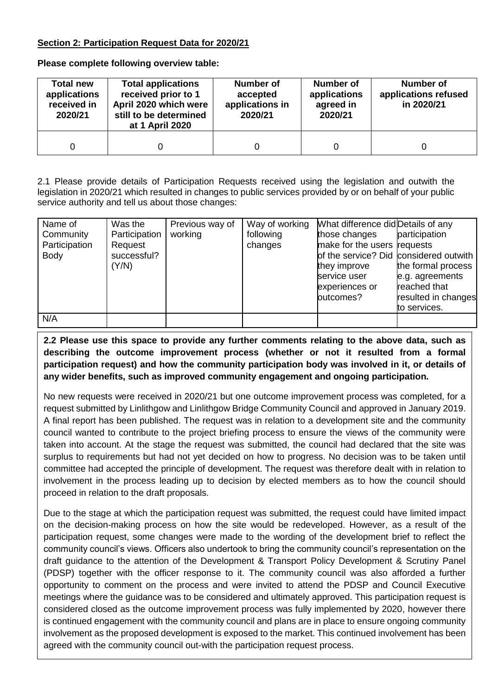# **Section 2: Participation Request Data for 2020/21**

**Please complete following overview table:**

| <b>Total new</b><br>applications<br>received in<br>2020/21 | <b>Total applications</b><br>received prior to 1<br>April 2020 which were<br>still to be determined<br>at 1 April 2020 | <b>Number of</b><br>accepted<br>applications in<br>2020/21 | Number of<br>applications<br>agreed in<br>2020/21 | <b>Number of</b><br>applications refused<br>in 2020/21 |
|------------------------------------------------------------|------------------------------------------------------------------------------------------------------------------------|------------------------------------------------------------|---------------------------------------------------|--------------------------------------------------------|
| 0                                                          |                                                                                                                        |                                                            |                                                   |                                                        |

2.1 Please provide details of Participation Requests received using the legislation and outwith the legislation in 2020/21 which resulted in changes to public services provided by or on behalf of your public service authority and tell us about those changes:

| Name of       | Was the       | Previous way of | Way of working | What difference did Details of any     |                     |
|---------------|---------------|-----------------|----------------|----------------------------------------|---------------------|
| Community     | Participation | working         | following      | those changes                          | participation       |
| Participation | Request       |                 | changes        | make for the users requests            |                     |
| <b>Body</b>   | successful?   |                 |                | of the service? Did considered outwith |                     |
|               | (Y/N)         |                 |                | they improve                           | the formal process  |
|               |               |                 |                | service user                           | e.g. agreements     |
|               |               |                 |                | experiences or                         | reached that        |
|               |               |                 |                | outcomes?                              | resulted in changes |
|               |               |                 |                |                                        | to services.        |
| N/A           |               |                 |                |                                        |                     |

# **2.2 Please use this space to provide any further comments relating to the above data, such as describing the outcome improvement process (whether or not it resulted from a formal participation request) and how the community participation body was involved in it, or details of any wider benefits, such as improved community engagement and ongoing participation.**

No new requests were received in 2020/21 but one outcome improvement process was completed, for a request submitted by Linlithgow and Linlithgow Bridge Community Council and approved in January 2019. A final report has been published. The request was in relation to a development site and the community council wanted to contribute to the project briefing process to ensure the views of the community were taken into account. At the stage the request was submitted, the council had declared that the site was surplus to requirements but had not yet decided on how to progress. No decision was to be taken until committee had accepted the principle of development. The request was therefore dealt with in relation to involvement in the process leading up to decision by elected members as to how the council should proceed in relation to the draft proposals.

agreed with the community council out-with the participation request process. Due to the stage at which the participation request was submitted, the request could have limited impact on the decision-making process on how the site would be redeveloped. However, as a result of the participation request, some changes were made to the wording of the development brief to reflect the community council's views. Officers also undertook to bring the community council's representation on the draft guidance to the attention of the Development & Transport Policy Development & Scrutiny Panel (PDSP) together with the officer response to it. The community council was also afforded a further opportunity to comment on the process and were invited to attend the PDSP and Council Executive meetings where the guidance was to be considered and ultimately approved. This participation request is considered closed as the outcome improvement process was fully implemented by 2020, however there is continued engagement with the community council and plans are in place to ensure ongoing community involvement as the proposed development is exposed to the market. This continued involvement has been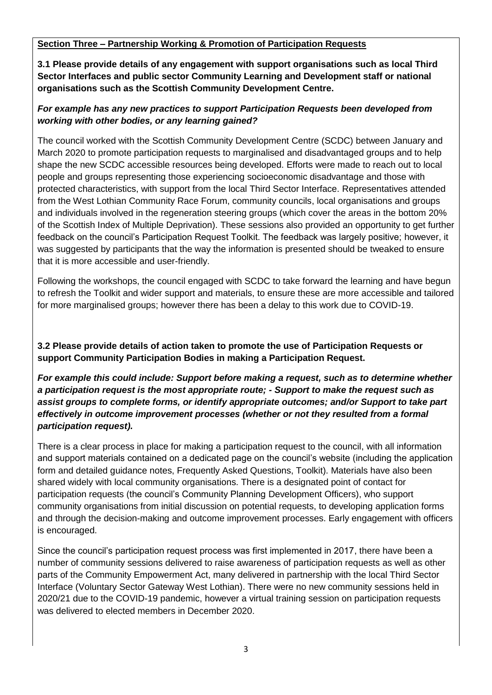## **Section Three – Partnership Working & Promotion of Participation Requests**

**3.1 Please provide details of any engagement with support organisations such as local Third Sector Interfaces and public sector Community Learning and Development staff or national organisations such as the Scottish Community Development Centre.** 

## *For example has any new practices to support Participation Requests been developed from working with other bodies, or any learning gained?*

The council worked with the Scottish Community Development Centre (SCDC) between January and March 2020 to promote participation requests to marginalised and disadvantaged groups and to help shape the new SCDC accessible resources being developed. Efforts were made to reach out to local people and groups representing those experiencing socioeconomic disadvantage and those with protected characteristics, with support from the local Third Sector Interface. Representatives attended from the West Lothian Community Race Forum, community councils, local organisations and groups and individuals involved in the regeneration steering groups (which cover the areas in the bottom 20% of the Scottish Index of Multiple Deprivation). These sessions also provided an opportunity to get further feedback on the council's Participation Request Toolkit. The feedback was largely positive; however, it was suggested by participants that the way the information is presented should be tweaked to ensure that it is more accessible and user-friendly.

Following the workshops, the council engaged with SCDC to take forward the learning and have begun to refresh the Toolkit and wider support and materials, to ensure these are more accessible and tailored for more marginalised groups; however there has been a delay to this work due to COVID-19.

### **3.2 Please provide details of action taken to promote the use of Participation Requests or support Community Participation Bodies in making a Participation Request.**

*For example this could include: Support before making a request, such as to determine whether a participation request is the most appropriate route; - Support to make the request such as assist groups to complete forms, or identify appropriate outcomes; and/or Support to take part effectively in outcome improvement processes (whether or not they resulted from a formal participation request).*

There is a clear process in place for making a participation request to the council, with all information and support materials contained on a dedicated page on the council's website (including the application form and detailed guidance notes, Frequently Asked Questions, Toolkit). Materials have also been shared widely with local community organisations. There is a designated point of contact for participation requests (the council's Community Planning Development Officers), who support community organisations from initial discussion on potential requests, to developing application forms and through the decision-making and outcome improvement processes. Early engagement with officers is encouraged.

Since the council's participation request process was first implemented in 2017, there have been a number of community sessions delivered to raise awareness of participation requests as well as other parts of the Community Empowerment Act, many delivered in partnership with the local Third Sector Interface (Voluntary Sector Gateway West Lothian). There were no new community sessions held in 2020/21 due to the COVID-19 pandemic, however a virtual training session on participation requests was delivered to elected members in December 2020.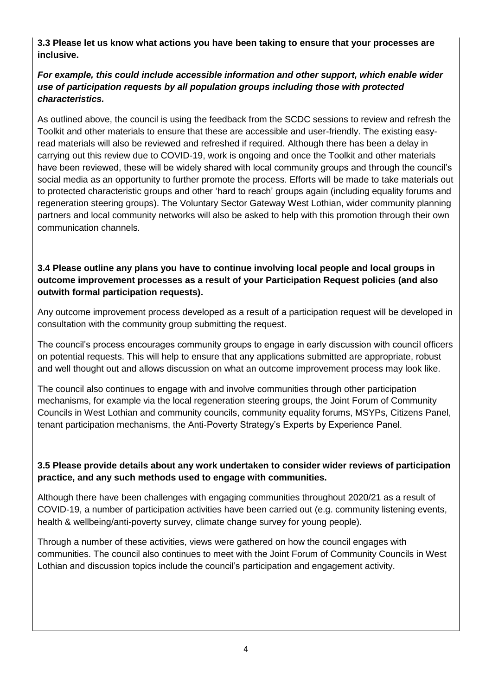**3.3 Please let us know what actions you have been taking to ensure that your processes are inclusive.** 

# *For example, this could include accessible information and other support, which enable wider use of participation requests by all population groups including those with protected characteristics.*

As outlined above, the council is using the feedback from the SCDC sessions to review and refresh the Toolkit and other materials to ensure that these are accessible and user-friendly. The existing easyread materials will also be reviewed and refreshed if required. Although there has been a delay in carrying out this review due to COVID-19, work is ongoing and once the Toolkit and other materials have been reviewed, these will be widely shared with local community groups and through the council's social media as an opportunity to further promote the process. Efforts will be made to take materials out to protected characteristic groups and other 'hard to reach' groups again (including equality forums and regeneration steering groups). The Voluntary Sector Gateway West Lothian, wider community planning partners and local community networks will also be asked to help with this promotion through their own communication channels.

# **3.4 Please outline any plans you have to continue involving local people and local groups in outcome improvement processes as a result of your Participation Request policies (and also outwith formal participation requests).**

Any outcome improvement process developed as a result of a participation request will be developed in consultation with the community group submitting the request.

The council's process encourages community groups to engage in early discussion with council officers on potential requests. This will help to ensure that any applications submitted are appropriate, robust and well thought out and allows discussion on what an outcome improvement process may look like.

The council also continues to engage with and involve communities through other participation mechanisms, for example via the local regeneration steering groups, the Joint Forum of Community Councils in West Lothian and community councils, community equality forums, MSYPs, Citizens Panel, tenant participation mechanisms, the Anti-Poverty Strategy's Experts by Experience Panel.

# **3.5 Please provide details about any work undertaken to consider wider reviews of participation practice, and any such methods used to engage with communities.**

Although there have been challenges with engaging communities throughout 2020/21 as a result of COVID-19, a number of participation activities have been carried out (e.g. community listening events, health & wellbeing/anti-poverty survey, climate change survey for young people).

Through a number of these activities, views were gathered on how the council engages with communities. The council also continues to meet with the Joint Forum of Community Councils in West Lothian and discussion topics include the council's participation and engagement activity.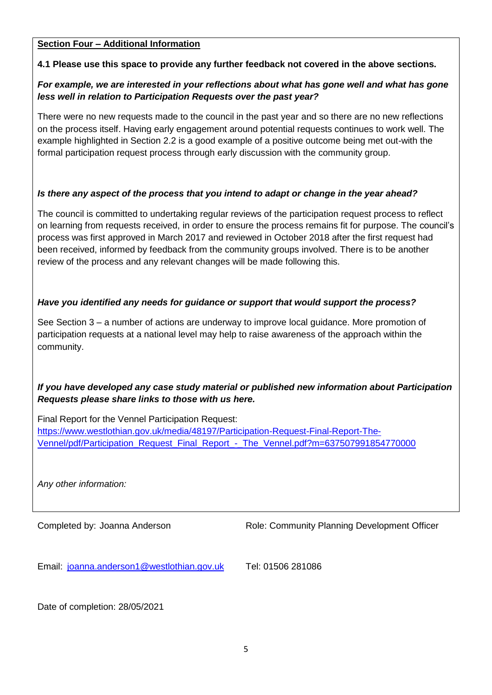### **Section Four – Additional Information**

### **4.1 Please use this space to provide any further feedback not covered in the above sections.**

### *For example, we are interested in your reflections about what has gone well and what has gone less well in relation to Participation Requests over the past year?*

There were no new requests made to the council in the past year and so there are no new reflections on the process itself. Having early engagement around potential requests continues to work well. The example highlighted in Section 2.2 is a good example of a positive outcome being met out-with the formal participation request process through early discussion with the community group.

### *Is there any aspect of the process that you intend to adapt or change in the year ahead?*

The council is committed to undertaking regular reviews of the participation request process to reflect on learning from requests received, in order to ensure the process remains fit for purpose. The council's process was first approved in March 2017 and reviewed in October 2018 after the first request had been received, informed by feedback from the community groups involved. There is to be another review of the process and any relevant changes will be made following this.

## *Have you identified any needs for guidance or support that would support the process?*

See Section 3 – a number of actions are underway to improve local guidance. More promotion of participation requests at a national level may help to raise awareness of the approach within the community.

# *If you have developed any case study material or published new information about Participation Requests please share links to those with us here.*

Final Report for the Vennel Participation Request: [https://www.westlothian.gov.uk/media/48197/Participation-Request-Final-Report-The-](https://www.westlothian.gov.uk/media/48197/Participation-Request-Final-Report-The-Vennel/pdf/Participation_Request_Final_Report_-_The_Vennel.pdf?m=637507991854770000)[Vennel/pdf/Participation\\_Request\\_Final\\_Report\\_-\\_The\\_Vennel.pdf?m=637507991854770000](https://www.westlothian.gov.uk/media/48197/Participation-Request-Final-Report-The-Vennel/pdf/Participation_Request_Final_Report_-_The_Vennel.pdf?m=637507991854770000)

*Any other information:*

Completed by: Joanna Anderson Role: Community Planning Development Officer

Email: [joanna.anderson1@westlothian.gov.uk](mailto:joanna.anderson1@westlothian.gov.uk) Tel: 01506 281086

Date of completion: 28/05/2021